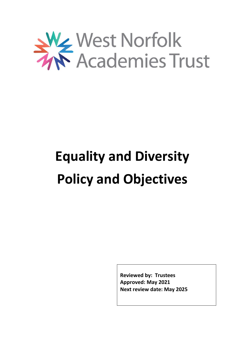

# **Equality and Diversity Policy and Objectives**

**Reviewed by: Trustees Approved: May 2021 Next review date: May 2025**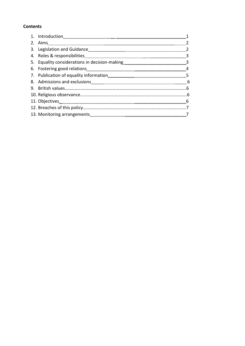# **Contents**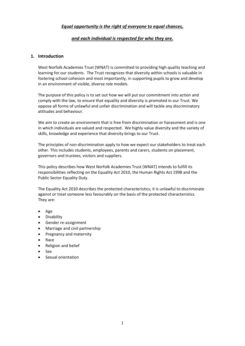# *Equal opportunity is the right of everyone to equal chances,*

## *and each individual is respected for who they are.*

## **1. Introduction**

West Norfolk Academies Trust (WNAT) is committed to providing high quality teaching and learning for our students. The Trust recognizes that diversity within schools is valuable in fostering school cohesion and most importantly, in supporting pupils to grow and develop in an environment of visible, diverse role models.

The purpose of this policy is to set out how we will put our commitment into action and comply with the law, to ensure that equality and diversity is promoted in our Trust. We oppose all forms of unlawful and unfair discrimination and will tackle any discriminatory attitudes and behaviour.

We aim to create an environment that is free from discrimination or harassment and is one in which individuals are valued and respected. We highly value diversity and the variety of skills, knowledge and experience that diversity brings to our Trust.

The principles of non-discrimination apply to how we expect our stakeholders to treat each other. This includes students, employees, parents and carers, students on placement, governors and trustees, visitors and suppliers.

This policy describes how West Norfolk Academies Trust (WNAT) intends to fulfill its responsibilities reflecting on the Equality Act 2010, the Human Rights Act 1998 and the Public Sector Equality Duty.

The Equality Act 2010 describes the protected characteristics; it is unlawful to discriminate against or treat someone less favourably on the basis of the protected characteristics. They are:

- Age
- **•** Disability
- Gender re-assignment
- Marriage and civil partnership
- Pregnancy and maternity
- Race
- Religion and belief
- Sex
- Sexual orientation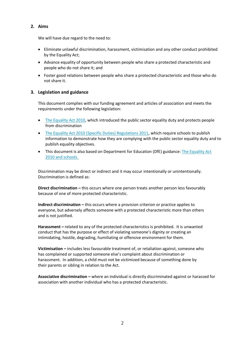# **2. Aims**

We will have due regard to the need to:

- Eliminate unlawful discrimination, harassment, victimisation and any other conduct prohibited by the Equality Act;
- Advance equality of opportunity between people who share a protected characteristic and people who do not share it; and
- Foster good relations between people who share a protected characteristic and those who do not share it.

# **3. Legislation and guidance**

This document complies with our funding agreement and articles of association and meets the requirements under the following legislation:

- [The Equality Act 2010,](http://www.legislation.gov.uk/ukpga/2010/15/contents) which introduced the public sector equality duty and protects people from discrimination
- [The Equality Act 2010 \(Specific Duties\) Regulations 2011,](http://www.legislation.gov.uk/uksi/2011/2260/contents/made) which require schools to publish information to demonstrate how they are complying with the public sector equality duty and to publish equality objectives.
- This document is also based on Department for Education (DfE) guidance: [The Equality Act](https://www.gov.uk/government/uploads/system/uploads/attachment_data/file/315587/Equality_Act_Advice_Final.pdf)  [2010 and schools.](https://www.gov.uk/government/uploads/system/uploads/attachment_data/file/315587/Equality_Act_Advice_Final.pdf)

Discrimination may be direct or indirect and it may occur intentionally or unintentionally. Discrimination is defined as:

**Direct discrimination –** this occurs where one person treats another person less favourably because of one of more protected characteristic.

**Indirect discrimination –** this occurs where a provision criterion or practice applies to everyone, but adversely affects someone with a protected characteristic more than others and is not justified.

**Harassment –** related to any of the protected characteristics is prohibited. It is unwanted conduct that has the purpose or effect of violating someone's dignity or creating an intimidating, hostile, degrading, humiliating or offensive environment for them.

**Victimisation –** includes less favourable treatment of, or retaliation against, someone who has complained or supported someone else's complaint about discrimination or harassment. In addition, a child must not be victimized because of something done by their parents or sibling in relation to the Act.

**Associative discrimination –** where an individual is directly discriminated against or harassed for association with another individual who has a protected characteristic.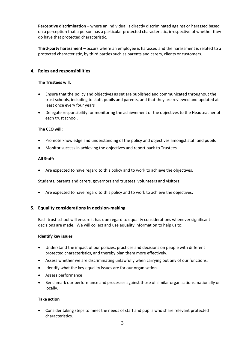**Perceptive discrimination –** where an individual is directly discriminated against or harassed based on a perception that a person has a particular protected characteristic, irrespective of whether they do have that protected characteristic.

**Third-party harassment –** occurs where an employee is harassed and the harassment is related to a protected characteristic, by third parties such as parents and carers, clients or customers.

## **4. Roles and responsibilities**

## **The Trustees will:**

- Ensure that the policy and objectives as set are published and communicated throughout the trust schools, including to staff, pupils and parents, and that they are reviewed and updated at least once every four years
- Delegate responsibility for monitoring the achievement of the objectives to the Headteacher of each trust school.

## **The CEO will:**

- Promote knowledge and understanding of the policy and objectives amongst staff and pupils
- Monitor success in achieving the objectives and report back to Trustees.

## **All Staff:**

Are expected to have regard to this policy and to work to achieve the objectives.

Students, parents and carers, governors and trustees, volunteers and visitors:

Are expected to have regard to this policy and to work to achieve the objectives.

## **5. Equality considerations in decision-making**

Each trust school will ensure it has due regard to equality considerations whenever significant decisions are made. We will collect and use equality information to help us to:

#### **Identify key issues**

- Understand the impact of our policies, practices and decisions on people with different protected characteristics, and thereby plan them more effectively.
- Assess whether we are discriminating unlawfully when carrying out any of our functions.
- Identify what the key equality issues are for our organisation.
- Assess performance
- Benchmark our performance and processes against those of similar organisations, nationally or locally.

## **Take action**

 Consider taking steps to meet the needs of staff and pupils who share relevant protected characteristics.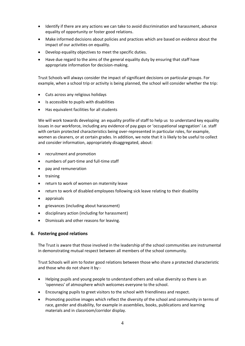- Identify if there are any actions we can take to avoid discrimination and harassment, advance equality of opportunity or foster good relations.
- Make informed decisions about policies and practices which are based on evidence about the impact of our activities on equality.
- Develop equality objectives to meet the specific duties.
- Have due regard to the aims of the general equality duty by ensuring that staff have appropriate information for decision-making.

Trust Schools will always consider the impact of significant decisions on particular groups. For example, when a school trip or activity is being planned, the school will consider whether the trip:

- Cuts across any religious holidays
- Is accessible to pupils with disabilities
- Has equivalent facilities for all students

We will work towards developing an equality profile of staff to help us to understand key equality issues in our workforce, including any evidence of pay gaps or 'occupational segregation' i.e. staff with certain protected characteristics being over-represented in particular roles, for example, women as cleaners, or at certain grades. In addition, we note that it is likely to be useful to collect and consider information, appropriately disaggregated, about:

- recruitment and promotion
- numbers of part-time and full-time staff
- pay and remuneration
- training
- return to work of women on maternity leave
- return to work of disabled employees following sick leave relating to their disability
- appraisals
- grievances (including about harassment)
- disciplinary action (including for harassment)
- Dismissals and other reasons for leaving.

# **6. Fostering good relations**

The Trust is aware that those involved in the leadership of the school communities are instrumental in demonstrating mutual respect between all members of the school community.

Trust Schools will aim to foster good relations between those who share a protected characteristic and those who do not share it by:-

- Helping pupils and young people to understand others and value diversity so there is an 'openness' of atmosphere which welcomes everyone to the school.
- Encouraging pupils to greet visitors to the school with friendliness and respect.
- Promoting positive images which reflect the diversity of the school and community in terms of race, gender and disability, for example in assemblies, books, publications and learning materials and in classroom/corridor display.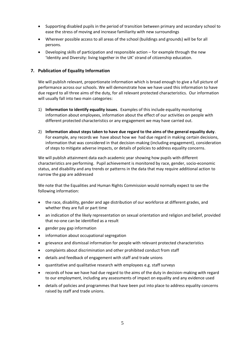- Supporting disabled pupils in the period of transition between primary and secondary school to ease the stress of moving and increase familiarity with new surroundings
- Wherever possible access to all areas of the school (buildings and grounds) will be for all persons.
- Developing skills of participation and responsible action for example through the new 'Identity and Diversity: living together in the UK' strand of citizenship education.

## **7. Publication of Equality Information**

We will publish relevant, proportionate information which is broad enough to give a full picture of performance across our schools. We will demonstrate how we have used this information to have due regard to all three aims of the duty, for all relevant protected characteristics. Our information will usually fall into two main categories:

- 1) **Information to identify equality issues**. Examples of this include equality monitoring information about employees, information about the effect of our activities on people with different protected characteristics or any engagement we may have carried out.
- 2) **Information about steps taken to have due regard to the aims of the general equality duty**. For example, any records we have about how we had due regard in making certain decisions, information that was considered in that decision-making (including engagement), consideration of steps to mitigate adverse impacts, or details of policies to address equality concerns.

We will publish attainment data each academic year showing how pupils with different characteristics are performing. Pupil achievement is monitored by race, gender, socio‐economic status, and disability and any trends or patterns in the data that may require additional action to narrow the gap are addressed

We note that the Equalities and Human Rights Commission would normally expect to see the following information:

- the race, disability, gender and age distribution of our workforce at different grades, and whether they are full or part time
- an indication of the likely representation on sexual orientation and religion and belief, provided that no-one can be identified as a result
- gender pay gap information
- information about occupational segregation
- grievance and dismissal information for people with relevant protected characteristics
- complaints about discrimination and other prohibited conduct from staff
- details and feedback of engagement with staff and trade unions
- quantitative and qualitative research with employees e.g. staff surveys
- records of how we have had due regard to the aims of the duty in decision-making with regard to our employment, including any assessments of impact on equality and any evidence used
- details of policies and programmes that have been put into place to address equality concerns raised by staff and trade unions.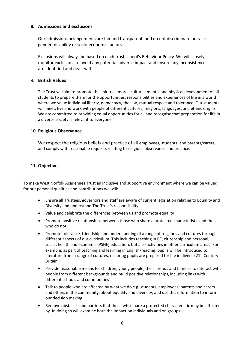## **8. Admissions and exclusions**

Our admissions arrangements are fair and transparent, and do not discriminate on race, gender, disability or socio‐economic factors.

Exclusions will always be based on each trust school's Behaviour Policy. We will closely monitor exclusions to avoid any potential adverse impact and ensure any inconsistences are identified and dealt with.

## 9. **British Values**

The Trust will aim to promote the spiritual, moral, cultural, mental and physical development of all students to prepare them for the opportunities, responsibilities and experiences of life in a world where we value individual liberty, democracy, the law, mutual respect and tolerance. Our students will meet, live and work with people of different cultures, religions, languages, and ethnic origins. We are committed to providing equal opportunities for all and recognise that preparation for life in a diverse society is relevant to everyone.

# 10. **Religious Observance**

We respect the religious beliefs and practice of all employees, students, and parents/carers, and comply with reasonable requests relating to religious observance and practice.

# **11. Objectives**

To make West Norfolk Academies Trust an inclusive and supportive environment where we can be valued for our personal qualities and contributions we will:-

- Ensure all Trustees, governors and staff are aware of current legislation relating to Equality and Diversity and understand The Trust's responsibility
- Value and celebrate the differences between us and promote equality
- Promote positive relationships between those who share a protected characteristic and those who do not
- Promote tolerance, friendship and understanding of a range of religions and cultures through different aspects of our curriculum. This includes teaching in RE, citizenship and personal, social, health and economic (PSHE) education, but also activities in other curriculum areas. For example, as part of teaching and learning in English/reading, pupils will be introduced to literature from a range of cultures, ensuring pupils are prepared for life in diverse 21<sup>st</sup> Century Britain
- Provide reasonable means for children, young people, their friends and families to interact with people from different backgrounds and build positive relationships, including links with different schools and communities
- Talk to people who are affected by what we do e.g. students, employees, parents and carers and others in the community, about equality and diversity, and use this information to inform our decision making
- Remove obstacles and barriers that those who share a protected characteristic may be affected by. In doing so will examine both the impact on individuals and on groups